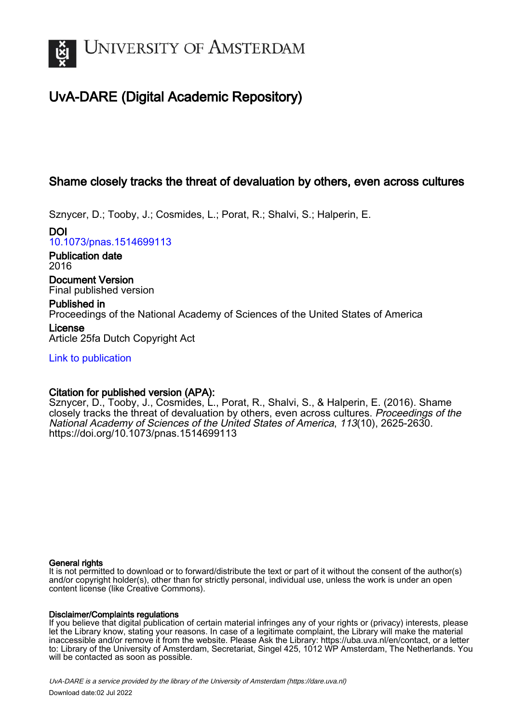

# UvA-DARE (Digital Academic Repository)

# Shame closely tracks the threat of devaluation by others, even across cultures

Sznycer, D.; Tooby, J.; Cosmides, L.; Porat, R.; Shalvi, S.; Halperin, E.

DOI [10.1073/pnas.1514699113](https://doi.org/10.1073/pnas.1514699113)

Publication date 2016

Document Version Final published version

Published in

Proceedings of the National Academy of Sciences of the United States of America License

Article 25fa Dutch Copyright Act

[Link to publication](https://dare.uva.nl/personal/pure/en/publications/shame-closely-tracks-the-threat-of-devaluation-by-others-even-across-cultures(bfc55544-b6cc-477d-b883-b76282737370).html)

# Citation for published version (APA):

Sznycer, D., Tooby, J., Cosmides, L., Porat, R., Shalvi, S., & Halperin, E. (2016). Shame closely tracks the threat of devaluation by others, even across cultures. Proceedings of the National Academy of Sciences of the United States of America, 113(10), 2625-2630. <https://doi.org/10.1073/pnas.1514699113>

## General rights

It is not permitted to download or to forward/distribute the text or part of it without the consent of the author(s) and/or copyright holder(s), other than for strictly personal, individual use, unless the work is under an open content license (like Creative Commons).

# Disclaimer/Complaints regulations

If you believe that digital publication of certain material infringes any of your rights or (privacy) interests, please let the Library know, stating your reasons. In case of a legitimate complaint, the Library will make the material inaccessible and/or remove it from the website. Please Ask the Library: https://uba.uva.nl/en/contact, or a letter to: Library of the University of Amsterdam, Secretariat, Singel 425, 1012 WP Amsterdam, The Netherlands. You will be contacted as soon as possible.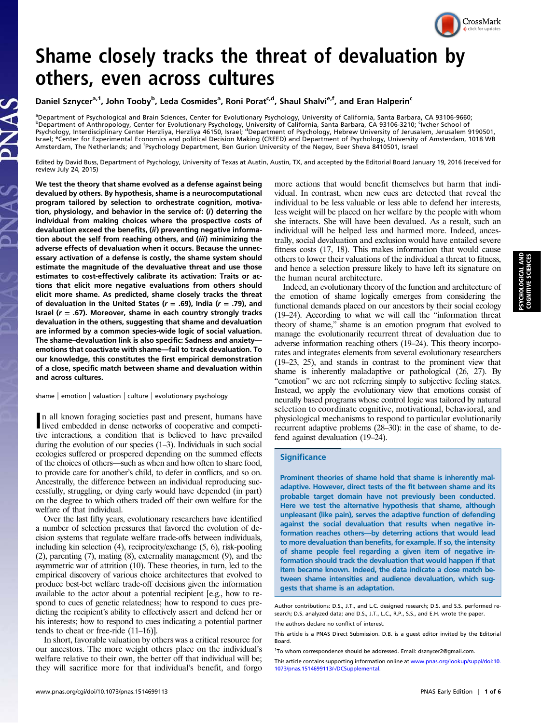CrossMark

# Shame closely tracks the threat of devaluation by others, even across cultures

Daniel Sznycer<sup>a, 1</sup>, John Tooby<sup>b</sup>, Leda Cosmides<sup>a</sup>, Roni Porat<sup>c,d</sup>, Shaul Shalvi<sup>e, f</sup>, and Eran Halperin<sup>c</sup>

<sup>a</sup>Department of Psychological and Brain Sciences, Center for Evolutionary Psychology, University of California, Santa Barbara, CA 93106-9660;<br><sup>b</sup>Department of Anthropology, Center for Evolutionary Psychology, University o Israel; <sup>e</sup>Center for Experimental Economics and political Decision Making (CREED) and Department of Psychology, University of Amsterdam, 1018 WB Amsterdam, The Netherlands; and <sup>f</sup>Psychology Department, Ben Gurion University of the Negev, Beer Sheva 8410501, Israel

Edited by David Buss, Department of Psychology, University of Texas at Austin, Austin, TX, and accepted by the Editorial Board January 19, 2016 (received for review July 24, 2015)

We test the theory that shame evolved as a defense against being devalued by others. By hypothesis, shame is a neurocomputational program tailored by selection to orchestrate cognition, motivation, physiology, and behavior in the service of: (i) deterring the individual from making choices where the prospective costs of devaluation exceed the benefits, (ii) preventing negative information about the self from reaching others, and (iii) minimizing the adverse effects of devaluation when it occurs. Because the unnecessary activation of a defense is costly, the shame system should estimate the magnitude of the devaluative threat and use those estimates to cost-effectively calibrate its activation: Traits or actions that elicit more negative evaluations from others should elicit more shame. As predicted, shame closely tracks the threat of devaluation in the United States ( $r = .69$ ), India ( $r = .79$ ), and Israel ( $r = .67$ ). Moreover, shame in each country strongly tracks devaluation in the others, suggesting that shame and devaluation are informed by a common species-wide logic of social valuation. The shame–devaluation link is also specific: Sadness and anxiety emotions that coactivate with shame—fail to track devaluation. To our knowledge, this constitutes the first empirical demonstration of a close, specific match between shame and devaluation within and across cultures.

shame | emotion | valuation | culture | evolutionary psychology

In all known foraging societies past and present, humans have lived embedded in dense networks of cooperative and competilived embedded in dense networks of cooperative and competitive interactions, a condition that is believed to have prevailed during the evolution of our species (1–3). Individuals in such social ecologies suffered or prospered depending on the summed effects of the choices of others—such as when and how often to share food, to provide care for another's child, to defer in conflicts, and so on. Ancestrally, the difference between an individual reproducing successfully, struggling, or dying early would have depended (in part) on the degree to which others traded off their own welfare for the welfare of that individual.

Over the last fifty years, evolutionary researchers have identified a number of selection pressures that favored the evolution of decision systems that regulate welfare trade-offs between individuals, including kin selection (4), reciprocity/exchange (5, 6), risk-pooling (2), parenting (7), mating (8), externality management (9), and the asymmetric war of attrition (10). These theories, in turn, led to the empirical discovery of various choice architectures that evolved to produce best-bet welfare trade-off decisions given the information available to the actor about a potential recipient [e.g., how to respond to cues of genetic relatedness; how to respond to cues predicting the recipient's ability to effectively assert and defend her or his interests; how to respond to cues indicating a potential partner tends to cheat or free-ride (11–16)].

In short, favorable valuation by others was a critical resource for our ancestors. The more weight others place on the individual's welfare relative to their own, the better off that individual will be; they will sacrifice more for that individual's benefit, and forgo more actions that would benefit themselves but harm that individual. In contrast, when new cues are detected that reveal the individual to be less valuable or less able to defend her interests, less weight will be placed on her welfare by the people with whom she interacts. She will have been devalued. As a result, such an individual will be helped less and harmed more. Indeed, ancestrally, social devaluation and exclusion would have entailed severe fitness costs (17, 18). This makes information that would cause others to lower their valuations of the individual a threat to fitness, and hence a selection pressure likely to have left its signature on the human neural architecture.

Indeed, an evolutionary theory of the function and architecture of the emotion of shame logically emerges from considering the functional demands placed on our ancestors by their social ecology (19–24). According to what we will call the "information threat theory of shame," shame is an emotion program that evolved to manage the evolutionarily recurrent threat of devaluation due to adverse information reaching others (19–24). This theory incorporates and integrates elements from several evolutionary researchers (19–23, 25), and stands in contrast to the prominent view that shame is inherently maladaptive or pathological (26, 27). By "emotion" we are not referring simply to subjective feeling states. Instead, we apply the evolutionary view that emotions consist of neurally based programs whose control logic was tailored by natural selection to coordinate cognitive, motivational, behavioral, and physiological mechanisms to respond to particular evolutionarily recurrent adaptive problems (28–30): in the case of shame, to defend against devaluation (19–24).

#### **Significance**

Prominent theories of shame hold that shame is inherently maladaptive. However, direct tests of the fit between shame and its probable target domain have not previously been conducted. Here we test the alternative hypothesis that shame, although unpleasant (like pain), serves the adaptive function of defending against the social devaluation that results when negative information reaches others—by deterring actions that would lead to more devaluation than benefits, for example. If so, the intensity of shame people feel regarding a given item of negative information should track the devaluation that would happen if that item became known. Indeed, the data indicate a close match between shame intensities and audience devaluation, which suggests that shame is an adaptation.

Author contributions: D.S., J.T., and L.C. designed research; D.S. and S.S. performed research; D.S. analyzed data; and D.S., J.T., L.C., R.P., S.S., and E.H. wrote the paper. The authors declare no conflict of interest.

This article is a PNAS Direct Submission. D.B. is a guest editor invited by the Editorial Board.

<sup>&</sup>lt;sup>1</sup>To whom correspondence should be addressed. Email: [dsznycer2@gmail.com.](mailto:dsznycer2@gmail.com)

This article contains supporting information online at [www.pnas.org/lookup/suppl/doi:10.](http://www.pnas.org/lookup/suppl/doi:10.1073/pnas.1514699113/-/DCSupplemental) [1073/pnas.1514699113/-/DCSupplemental](http://www.pnas.org/lookup/suppl/doi:10.1073/pnas.1514699113/-/DCSupplemental).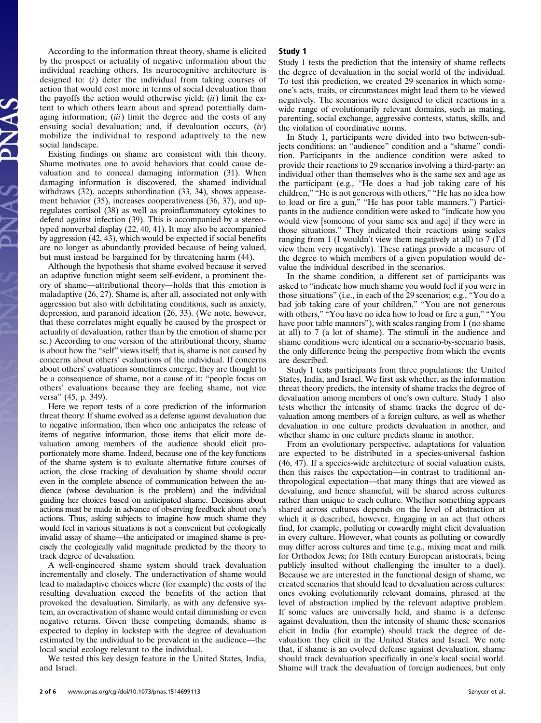According to the information threat theory, shame is elicited by the prospect or actuality of negative information about the individual reaching others. Its neurocognitive architecture is designed to: (i) deter the individual from taking courses of action that would cost more in terms of social devaluation than the payoffs the action would otherwise yield;  $(ii)$  limit the extent to which others learn about and spread potentially damaging information;  $(iii)$  limit the degree and the costs of any ensuing social devaluation; and, if devaluation occurs,  $(iv)$ mobilize the individual to respond adaptively to the new social landscape.

Existing findings on shame are consistent with this theory. Shame motivates one to avoid behaviors that could cause devaluation and to conceal damaging information (31). When damaging information is discovered, the shamed individual withdraws (32), accepts subordination (33, 34), shows appeasement behavior (35), increases cooperativeness (36, 37), and upregulates cortisol (38) as well as proinflammatory cytokines to defend against infection (39). This is accompanied by a stereotyped nonverbal display (22, 40, 41). It may also be accompanied by aggression (42, 43), which would be expected if social benefits are no longer as abundantly provided because of being valued, but must instead be bargained for by threatening harm (44).

Although the hypothesis that shame evolved because it served an adaptive function might seem self-evident, a prominent theory of shame—attributional theory—holds that this emotion is maladaptive (26, 27). Shame is, after all, associated not only with aggression but also with debilitating conditions, such as anxiety, depression, and paranoid ideation (26, 33). (We note, however, that these correlates might equally be caused by the prospect or actuality of devaluation, rather than by the emotion of shame per se.) According to one version of the attributional theory, shame is about how the "self" views itself; that is, shame is not caused by concerns about others' evaluations of the individual. If concerns about others' evaluations sometimes emerge, they are thought to be a consequence of shame, not a cause of it: "people focus on others' evaluations because they are feeling shame, not vice versa" (45, p. 349).

Here we report tests of a core prediction of the information threat theory: If shame evolved as a defense against devaluation due to negative information, then when one anticipates the release of items of negative information, those items that elicit more devaluation among members of the audience should elicit proportionately more shame. Indeed, because one of the key functions of the shame system is to evaluate alternative future courses of action, the close tracking of devaluation by shame should occur even in the complete absence of communication between the audience (whose devaluation is the problem) and the individual guiding her choices based on anticipated shame. Decisions about actions must be made in advance of observing feedback about one's actions. Thus, asking subjects to imagine how much shame they would feel in various situations is not a convenient but ecologically invalid assay of shame—the anticipated or imagined shame is precisely the ecologically valid magnitude predicted by the theory to track degree of devaluation.

A well-engineered shame system should track devaluation incrementally and closely. The underactivation of shame would lead to maladaptive choices where (for example) the costs of the resulting devaluation exceed the benefits of the action that provoked the devaluation. Similarly, as with any defensive system, an overactivation of shame would entail diminishing or even negative returns. Given these competing demands, shame is expected to deploy in lockstep with the degree of devaluation estimated by the individual to be prevalent in the audience—the local social ecology relevant to the individual.

We tested this key design feature in the United States, India, and Israel.

## Study 1

Study 1 tests the prediction that the intensity of shame reflects the degree of devaluation in the social world of the individual. To test this prediction, we created 29 scenarios in which someone's acts, traits, or circumstances might lead them to be viewed negatively. The scenarios were designed to elicit reactions in a wide range of evolutionarily relevant domains, such as mating, parenting, social exchange, aggressive contests, status, skills, and the violation of coordinative norms.

In Study 1, participants were divided into two between-subjects conditions: an "audience" condition and a "shame" condition. Participants in the audience condition were asked to provide their reactions to 29 scenarios involving a third-party: an individual other than themselves who is the same sex and age as the participant (e.g., "He does a bad job taking care of his children," "He is not generous with others," "He has no idea how to load or fire a gun," "He has poor table manners.") Participants in the audience condition were asked to "indicate how you would view [someone of your same sex and age] if they were in those situations." They indicated their reactions using scales ranging from 1 (I wouldn't view them negatively at all) to 7 (I'd view them very negatively). These ratings provide a measure of the degree to which members of a given population would devalue the individual described in the scenarios.

In the shame condition, a different set of participants was asked to "indicate how much shame you would feel if you were in those situations" (i.e., in each of the 29 scenarios; e.g., "You do a bad job taking care of your children," "You are not generous with others," "You have no idea how to load or fire a gun," "You have poor table manners"), with scales ranging from 1 (no shame at all) to 7 (a lot of shame). The stimuli in the audience and shame conditions were identical on a scenario-by-scenario basis, the only difference being the perspective from which the events are described.

Study 1 tests participants from three populations: the United States, India, and Israel. We first ask whether, as the information threat theory predicts, the intensity of shame tracks the degree of devaluation among members of one's own culture. Study 1 also tests whether the intensity of shame tracks the degree of devaluation among members of a foreign culture, as well as whether devaluation in one culture predicts devaluation in another, and whether shame in one culture predicts shame in another.

From an evolutionary perspective, adaptations for valuation are expected to be distributed in a species-universal fashion (46, 47). If a species-wide architecture of social valuation exists, then this raises the expectation—in contrast to traditional anthropological expectation—that many things that are viewed as devaluing, and hence shameful, will be shared across cultures rather than unique to each culture. Whether something appears shared across cultures depends on the level of abstraction at which it is described, however. Engaging in an act that others find, for example, polluting or cowardly might elicit devaluation in every culture. However, what counts as polluting or cowardly may differ across cultures and time (e.g., mixing meat and milk for Orthodox Jews; for 18th century European aristocrats, being publicly insulted without challenging the insulter to a duel). Because we are interested in the functional design of shame, we created scenarios that should lead to devaluation across cultures: ones evoking evolutionarily relevant domains, phrased at the level of abstraction implied by the relevant adaptive problem. If some values are universally held, and shame is a defense against devaluation, then the intensity of shame these scenarios elicit in India (for example) should track the degree of devaluation they elicit in the United States and Israel. We note that, if shame is an evolved defense against devaluation, shame should track devaluation specifically in one's local social world. Shame will track the devaluation of foreign audiences, but only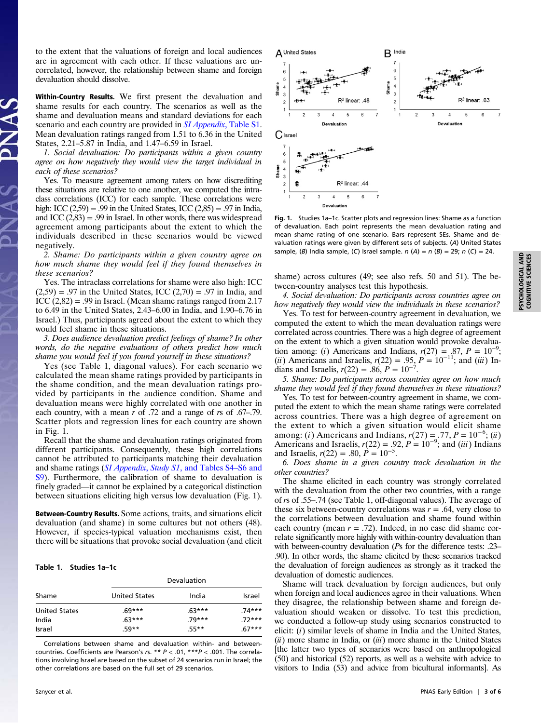to the extent that the valuations of foreign and local audiences are in agreement with each other. If these valuations are uncorrelated, however, the relationship between shame and foreign devaluation should dissolve.

Within-Country Results. We first present the devaluation and shame results for each country. The scenarios as well as the shame and devaluation means and standard deviations for each scenario and each country are provided in *[SI Appendix](http://www.pnas.org/lookup/suppl/doi:10.1073/pnas.1514699113/-/DCSupplemental/pnas.1514699113.sapp.pdf)*, Table S1. Mean devaluation ratings ranged from 1.51 to 6.36 in the United States, 2.21–5.87 in India, and 1.47–6.59 in Israel.

1. Social devaluation: Do participants within a given country agree on how negatively they would view the target individual in each of these scenarios?

Yes. To measure agreement among raters on how discrediting these situations are relative to one another, we computed the intraclass correlations (ICC) for each sample. These correlations were high: ICC  $(2,59) = .99$  in the United States, ICC  $(2,85) = .97$  in India, and ICC  $(2,83) = .99$  in Israel. In other words, there was widespread agreement among participants about the extent to which the individuals described in these scenarios would be viewed negatively.

2. Shame: Do participants within a given country agree on how much shame they would feel if they found themselves in these scenarios?

Yes. The intraclass correlations for shame were also high: ICC  $(2,59) = .97$  in the United States, ICC  $(2,70) = .97$  in India, and ICC  $(2,82) = .99$  in Israel. (Mean shame ratings ranged from 2.17) to 6.49 in the United States, 2.43–6.00 in India, and 1.90–6.76 in Israel.) Thus, participants agreed about the extent to which they would feel shame in these situations.

3. Does audience devaluation predict feelings of shame? In other words, do the negative evaluations of others predict how much shame you would feel if you found yourself in these situations?

Yes (see Table 1, diagonal values). For each scenario we calculated the mean shame ratings provided by participants in the shame condition, and the mean devaluation ratings provided by participants in the audience condition. Shame and devaluation means were highly correlated with one another in each country, with a mean r of .72 and a range of rs of .67-.79. Scatter plots and regression lines for each country are shown in Fig. 1.

Recall that the shame and devaluation ratings originated from different participants. Consequently, these high correlations cannot be attributed to participants matching their devaluation and shame ratings (SI Appendix, Study S1[, and Tables S4](http://www.pnas.org/lookup/suppl/doi:10.1073/pnas.1514699113/-/DCSupplemental/pnas.1514699113.sapp.pdf)–[S6 and](http://www.pnas.org/lookup/suppl/doi:10.1073/pnas.1514699113/-/DCSupplemental/pnas.1514699113.sapp.pdf) [S9\)](http://www.pnas.org/lookup/suppl/doi:10.1073/pnas.1514699113/-/DCSupplemental/pnas.1514699113.sapp.pdf). Furthermore, the calibration of shame to devaluation is finely graded—it cannot be explained by a categorical distinction between situations eliciting high versus low devaluation (Fig. 1).

Between-Country Results. Some actions, traits, and situations elicit devaluation (and shame) in some cultures but not others (48). However, if species-typical valuation mechanisms exist, then there will be situations that provoke social devaluation (and elicit

### Table 1. Studies 1a–1c

| Shame                | Devaluation          |          |          |
|----------------------|----------------------|----------|----------|
|                      | <b>United States</b> | India    | Israel   |
| <b>United States</b> | $69***$              | $.63***$ | $.74***$ |
| India                | $.63***$             | $.79***$ | $.72***$ |
| Israel               | $.59**$              | $.55**$  | $.67***$ |

Correlations between shame and devaluation within- and betweencountries. Coefficients are Pearson's rs.  $** P < .01$ ,  $*** P < .001$ . The correlations involving Israel are based on the subset of 24 scenarios run in Israel; the other correlations are based on the full set of 29 scenarios.



Fig. 1. Studies 1a–1c. Scatter plots and regression lines: Shame as a function of devaluation. Each point represents the mean devaluation rating and mean shame rating of one scenario. Bars represent SEs. Shame and devaluation ratings were given by different sets of subjects. (A) United States sample, (B) India sample, (C) Israel sample.  $n(A) = n(B) = 29$ ;  $n(C) = 24$ .

shame) across cultures (49; see also refs. 50 and 51). The between-country analyses test this hypothesis.

4. Social devaluation: Do participants across countries agree on how negatively they would view the individuals in these scenarios?

Yes. To test for between-country agreement in devaluation, we computed the extent to which the mean devaluation ratings were correlated across countries. There was a high degree of agreement on the extent to which a given situation would provoke devaluation among: (i) Americans and Indians,  $r(27) = .87$ ,  $P = 10^{-9}$ ; (ii) Americans and Israelis,  $r(22) = .95$ ,  $P = 10^{-11}$ ; and (iii) Indians and Israelis,  $r(22) = .86$ ,  $P = 10^{-7}$ .

5. Shame: Do participants across countries agree on how much shame they would feel if they found themselves in these situations?

Yes. To test for between-country agreement in shame, we computed the extent to which the mean shame ratings were correlated across countries. There was a high degree of agreement on the extent to which a given situation would elicit shame among: (*i*) Americans and Indians,  $r(27) = .77$ ,  $P = 10^{-6}$ ; (*ii*) Americans and Israelis,  $r(22) = .92$ ,  $P = 10^{-9}$ ; and (iii) Indians and Israelis,  $r(22) = .80$ ,  $P = 10^{-5}$ .

6. Does shame in a given country track devaluation in the other countries?

The shame elicited in each country was strongly correlated with the devaluation from the other two countries, with a range of rs of .55–.74 (see Table 1, off-diagonal values). The average of these six between-country correlations was  $r = .64$ , very close to the correlations between devaluation and shame found within each country (mean  $r = .72$ ). Indeed, in no case did shame correlate significantly more highly with within-country devaluation than with between-country devaluation (Ps for the difference tests: .23– .90). In other words, the shame elicited by these scenarios tracked the devaluation of foreign audiences as strongly as it tracked the devaluation of domestic audiences.

Shame will track devaluation by foreign audiences, but only when foreign and local audiences agree in their valuations. When they disagree, the relationship between shame and foreign devaluation should weaken or dissolve. To test this prediction, we conducted a follow-up study using scenarios constructed to elicit:  $(i)$  similar levels of shame in India and the United States,  $(ii)$  more shame in India, or  $(iii)$  more shame in the United States [the latter two types of scenarios were based on anthropological (50) and historical (52) reports, as well as a website with advice to visitors to India (53) and advice from bicultural informants]. As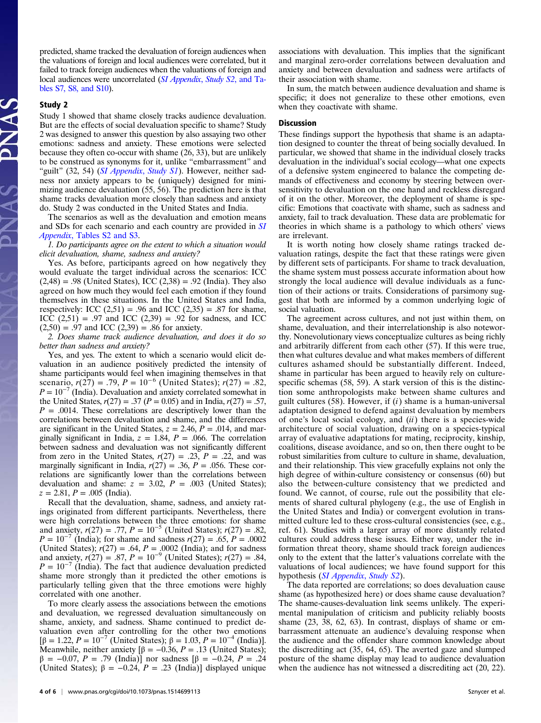predicted, shame tracked the devaluation of foreign audiences when the valuations of foreign and local audiences were correlated, but it failed to track foreign audiences when the valuations of foreign and local audiences were uncorrelated ([SI Appendix](http://www.pnas.org/lookup/suppl/doi:10.1073/pnas.1514699113/-/DCSupplemental/pnas.1514699113.sapp.pdf), Study S2, and Ta[bles S7, S8, and S10](http://www.pnas.org/lookup/suppl/doi:10.1073/pnas.1514699113/-/DCSupplemental/pnas.1514699113.sapp.pdf)).

#### Study 2

Study 1 showed that shame closely tracks audience devaluation. But are the effects of social devaluation specific to shame? Study 2 was designed to answer this question by also assaying two other emotions: sadness and anxiety. These emotions were selected because they often co-occur with shame (26, 33), but are unlikely to be construed as synonyms for it, unlike "embarrassment" and "guilt" (32, 54) ([SI Appendix](http://www.pnas.org/lookup/suppl/doi:10.1073/pnas.1514699113/-/DCSupplemental/pnas.1514699113.sapp.pdf), Study S1). However, neither sadness nor anxiety appears to be (uniquely) designed for minimizing audience devaluation (55, 56). The prediction here is that shame tracks devaluation more closely than sadness and anxiety do. Study 2 was conducted in the United States and India.

The scenarios as well as the devaluation and emotion means and SDs for each scenario and each country are provided in [SI](http://www.pnas.org/lookup/suppl/doi:10.1073/pnas.1514699113/-/DCSupplemental/pnas.1514699113.sapp.pdf) Appendix[, Tables S2 and S3](http://www.pnas.org/lookup/suppl/doi:10.1073/pnas.1514699113/-/DCSupplemental/pnas.1514699113.sapp.pdf).

1. Do participants agree on the extent to which a situation would elicit devaluation, shame, sadness and anxiety?

Yes. As before, participants agreed on how negatively they would evaluate the target individual across the scenarios: ICC  $(2,48) = .98$  (United States), ICC  $(2,38) = .92$  (India). They also agreed on how much they would feel each emotion if they found themselves in these situations. In the United States and India, respectively: ICC  $(2,51) = .96$  and ICC  $(2,35) = .87$  for shame, ICC  $(2,51) = .97$  and ICC  $(2,39) = .92$  for sadness, and ICC  $(2,50) = .97$  and ICC  $(2,39) = .86$  for anxiety.

2. Does shame track audience devaluation, and does it do so better than sadness and anxiety?

Yes, and yes. The extent to which a scenario would elicit devaluation in an audience positively predicted the intensity of shame participants would feel when imagining themselves in that scenario,  $r(27) = .79$ ,  $P = 10^{-6}$  (United States);  $r(27) = .82$ ,  $P = 10^{-7}$  (India). Devaluation and anxiety correlated somewhat in the United States,  $r(27) = .37$  ( $P = 0.05$ ) and in India,  $r(27) = .57$ ,  $P = .0014$ . These correlations are descriptively lower than the correlations between devaluation and shame, and the differences are significant in the United States,  $z = 2.46$ ,  $P = .014$ , and marginally significant in India,  $z = 1.84$ ,  $P = .066$ . The correlation between sadness and devaluation was not significantly different from zero in the United States,  $r(27) = .23$ ,  $P = .22$ , and was marginally significant in India,  $r(27) = .36$ ,  $P = .056$ . These correlations are significantly lower than the correlations between devaluation and shame:  $z = 3.02$ ,  $P = .003$  (United States);  $z = 2.81, P = .005$  (India).

Recall that the devaluation, shame, sadness, and anxiety ratings originated from different participants. Nevertheless, there were high correlations between the three emotions: for shame and anxiety,  $r(27) = .77$ ,  $P = 10^{-5}$  (United States);  $r(27) = .82$ ,  $P = 10^{-7}$  (India); for shame and sadness  $r(27) = .65$ ,  $P = .0002$ (United States);  $r(27) = .64$ ,  $P = .0002$  (India); and for sadness and anxiety,  $r(27) = .87$ ,  $P = 10^{-9}$  (United States);  $r(27) = .84$ ,  $P = 10^{-7}$  (India). The fact that audience devaluation predicted shame more strongly than it predicted the other emotions is particularly telling given that the three emotions were highly correlated with one another.

To more clearly assess the associations between the emotions and devaluation, we regressed devaluation simultaneously on shame, anxiety, and sadness. Shame continued to predict devaluation even after controlling for the other two emotions  $[β = 1.22, P = 10<sup>-7</sup>$  (United States);  $β = 1.03, P = 10<sup>-4</sup>$  (India). Meanwhile, neither anxiety  $\beta = -0.36$ ,  $P = .13$  (United States);  $β = -0.07, P = .79$  (India)] nor sadness  $β = -0.24, P = .24$ (United States);  $\beta = -0.24$ ,  $P = .23$  (India)] displayed unique

associations with devaluation. This implies that the significant and marginal zero-order correlations between devaluation and anxiety and between devaluation and sadness were artifacts of their association with shame.

In sum, the match between audience devaluation and shame is specific; it does not generalize to these other emotions, even when they coactivate with shame.

#### **Discussion**

These findings support the hypothesis that shame is an adaptation designed to counter the threat of being socially devalued. In particular, we showed that shame in the individual closely tracks devaluation in the individual's social ecology—what one expects of a defensive system engineered to balance the competing demands of effectiveness and economy by steering between oversensitivity to devaluation on the one hand and reckless disregard of it on the other. Moreover, the deployment of shame is specific: Emotions that coactivate with shame, such as sadness and anxiety, fail to track devaluation. These data are problematic for theories in which shame is a pathology to which others' views are irrelevant.

It is worth noting how closely shame ratings tracked devaluation ratings, despite the fact that these ratings were given by different sets of participants. For shame to track devaluation, the shame system must possess accurate information about how strongly the local audience will devalue individuals as a function of their actions or traits. Considerations of parsimony suggest that both are informed by a common underlying logic of social valuation.

The agreement across cultures, and not just within them, on shame, devaluation, and their interrelationship is also noteworthy. Nonevolutionary views conceptualize cultures as being richly and arbitrarily different from each other (57). If this were true, then what cultures devalue and what makes members of different cultures ashamed should be substantially different. Indeed, shame in particular has been argued to heavily rely on culturespecific schemas (58, 59). A stark version of this is the distinction some anthropologists make between shame cultures and guilt cultures  $(58)$ . However, if  $(i)$  shame is a human-universal adaptation designed to defend against devaluation by members of one's local social ecology, and  $(ii)$  there is a species-wide architecture of social valuation, drawing on a species-typical array of evaluative adaptations for mating, reciprocity, kinship, coalitions, disease avoidance, and so on, then there ought to be robust similarities from culture to culture in shame, devaluation, and their relationship. This view gracefully explains not only the high degree of within-culture consistency or consensus (60) but also the between-culture consistency that we predicted and found. We cannot, of course, rule out the possibility that elements of shared cultural phylogeny (e.g., the use of English in the United States and India) or convergent evolution in transmitted culture led to these cross-cultural consistencies (see, e.g., ref. 61). Studies with a larger array of more distantly related cultures could address these issues. Either way, under the information threat theory, shame should track foreign audiences only to the extent that the latter's valuations correlate with the valuations of local audiences; we have found support for this hypothesis *([SI Appendix](http://www.pnas.org/lookup/suppl/doi:10.1073/pnas.1514699113/-/DCSupplemental/pnas.1514699113.sapp.pdf), Study S2)*.

The data reported are correlations; so does devaluation cause shame (as hypothesized here) or does shame cause devaluation? The shame-causes-devaluation link seems unlikely. The experimental manipulation of criticism and publicity reliably boosts shame (23, 38, 62, 63). In contrast, displays of shame or embarrassment attenuate an audience's devaluing response when the audience and the offender share common knowledge about the discrediting act (35, 64, 65). The averted gaze and slumped posture of the shame display may lead to audience devaluation when the audience has not witnessed a discrediting act (20, 22).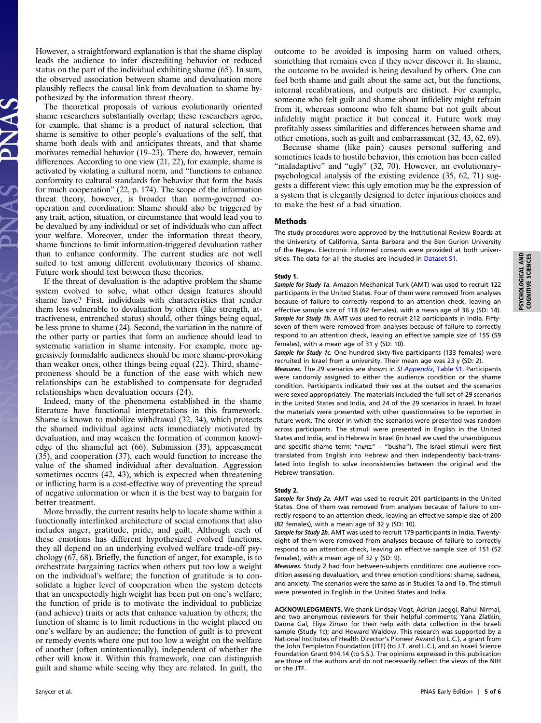However, a straightforward explanation is that the shame display leads the audience to infer discrediting behavior or reduced status on the part of the individual exhibiting shame (65). In sum, the observed association between shame and devaluation more plausibly reflects the causal link from devaluation to shame hypothesized by the information threat theory.

The theoretical proposals of various evolutionarily oriented shame researchers substantially overlap; these researchers agree, for example, that shame is a product of natural selection, that shame is sensitive to other people's evaluations of the self, that shame both deals with and anticipates threats, and that shame motivates remedial behavior (19–23). There do, however, remain differences. According to one view (21, 22), for example, shame is activated by violating a cultural norm, and "functions to enhance conformity to cultural standards for behavior that form the basis for much cooperation" (22, p. 174). The scope of the information threat theory, however, is broader than norm-governed cooperation and coordination: Shame should also be triggered by any trait, action, situation, or circumstance that would lead you to be devalued by any individual or set of individuals who can affect your welfare. Moreover, under the information threat theory, shame functions to limit information-triggered devaluation rather than to enhance conformity. The current studies are not well suited to test among different evolutionary theories of shame. Future work should test between these theories.

If the threat of devaluation is the adaptive problem the shame system evolved to solve, what other design features should shame have? First, individuals with characteristics that render them less vulnerable to devaluation by others (like strength, attractiveness, entrenched status) should, other things being equal, be less prone to shame (24). Second, the variation in the nature of the other party or parties that form an audience should lead to systematic variation in shame intensity. For example, more aggressively formidable audiences should be more shame-provoking than weaker ones, other things being equal (22). Third, shameproneness should be a function of the ease with which new relationships can be established to compensate for degraded relationships when devaluation occurs (24).

Indeed, many of the phenomena established in the shame literature have functional interpretations in this framework. Shame is known to mobilize withdrawal (32, 34), which protects the shamed individual against acts immediately motivated by devaluation, and may weaken the formation of common knowledge of the shameful act (66). Submission (33), appeasement (35), and cooperation (37), each would function to increase the value of the shamed individual after devaluation. Aggression sometimes occurs (42, 43), which is expected when threatening or inflicting harm is a cost-effective way of preventing the spread of negative information or when it is the best way to bargain for better treatment.

More broadly, the current results help to locate shame within a functionally interlinked architecture of social emotions that also includes anger, gratitude, pride, and guilt. Although each of these emotions has different hypothesized evolved functions, they all depend on an underlying evolved welfare trade-off psychology (67, 68). Briefly, the function of anger, for example, is to orchestrate bargaining tactics when others put too low a weight on the individual's welfare; the function of gratitude is to consolidate a higher level of cooperation when the system detects that an unexpectedly high weight has been put on one's welfare; the function of pride is to motivate the individual to publicize (and achieve) traits or acts that enhance valuation by others; the function of shame is to limit reductions in the weight placed on one's welfare by an audience; the function of guilt is to prevent or remedy events where one put too low a weight on the welfare of another (often unintentionally), independent of whether the other will know it. Within this framework, one can distinguish guilt and shame while seeing why they are related. In guilt, the outcome to be avoided is imposing harm on valued others, something that remains even if they never discover it. In shame, the outcome to be avoided is being devalued by others. One can feel both shame and guilt about the same act, but the functions, internal recalibrations, and outputs are distinct. For example, someone who felt guilt and shame about infidelity might refrain from it, whereas someone who felt shame but not guilt about infidelity might practice it but conceal it. Future work may profitably assess similarities and differences between shame and other emotions, such as guilt and embarrassment (32, 43, 62, 69).

Because shame (like pain) causes personal suffering and sometimes leads to hostile behavior, this emotion has been called "maladaptive" and "ugly" (32, 70). However, an evolutionary– psychological analysis of the existing evidence (35, 62, 71) suggests a different view: this ugly emotion may be the expression of a system that is elegantly designed to deter injurious choices and to make the best of a bad situation.

## Methods

The study procedures were approved by the Institutional Review Boards at the University of California, Santa Barbara and the Ben Gurion University of the Negev. Electronic informed consents were provided at both universities. The data for all the studies are included in [Dataset S1](http://www.pnas.org/lookup/suppl/doi:10.1073/pnas.1514699113/-/DCSupplemental/pnas.1514699113.sd01.xlsx).

#### Study 1.

Sample for Study 1a. Amazon Mechanical Turk (AMT) was used to recruit 122 participants in the United States. Four of them were removed from analyses because of failure to correctly respond to an attention check, leaving an effective sample size of 118 (62 females), with a mean age of 36 y (SD: 14). Sample for Study 1b. AMT was used to recruit 212 participants in India. Fiftyseven of them were removed from analyses because of failure to correctly respond to an attention check, leaving an effective sample size of 155 (59 females), with a mean age of 31  $\gamma$  (SD: 10).

Sample for Study 1c. One hundred sixty-five participants (133 females) were recruited in Israel from a university. Their mean age was 23 y (SD: 2).

Measures. The 29 scenarios are shown in [SI Appendix](http://www.pnas.org/lookup/suppl/doi:10.1073/pnas.1514699113/-/DCSupplemental/pnas.1514699113.sapp.pdf), Table S1. Participants were randomly assigned to either the audience condition or the shame condition. Participants indicated their sex at the outset and the scenarios were sexed appropriately. The materials included the full set of 29 scenarios in the United States and India, and 24 of the 29 scenarios in Israel. In Israel the materials were presented with other questionnaires to be reported in future work. The order in which the scenarios were presented was random across participants. The stimuli were presented in English in the United States and India, and in Hebrew in Israel (in Israel we used the unambiguous and specific shame term: "בושה"–"busha"). The Israel stimuli were first translated from English into Hebrew and then independently back-translated into English to solve inconsistencies between the original and the Hebrew translation.

#### Study 2.

Sample for Study 2a. AMT was used to recruit 201 participants in the United States. One of them was removed from analyses because of failure to correctly respond to an attention check, leaving an effective sample size of 200 (82 females), with a mean age of  $32 \text{ y}$  (SD: 10).

Sample for Study 2b. AMT was used to recruit 179 participants in India. Twentyeight of them were removed from analyses because of failure to correctly respond to an attention check, leaving an effective sample size of 151 (52 females), with a mean age of 32 y (SD: 9).

Measures. Study 2 had four between-subjects conditions: one audience condition assessing devaluation, and three emotion conditions: shame, sadness, and anxiety. The scenarios were the same as in Studies 1a and 1b. The stimuli were presented in English in the United States and India.

ACKNOWLEDGMENTS. We thank Lindsay Vogt, Adrian Jaeggi, Rahul Nirmal, and two anonymous reviewers for their helpful comments; Yana Zlatkin, Danna Gal, Eliya Ziman for their help with data collection in the Israeli sample (Study 1c); and Howard Waldow. This research was supported by a National Institutes of Health Director's Pioneer Award (to L.C.), a grant from the John Templeton Foundation (JTF) (to J.T. and L.C.), and an Israeli Science Foundation Grant 914.14 (to S.S.). The opinions expressed in this publication are those of the authors and do not necessarily reflect the views of the NIH or the JTF.